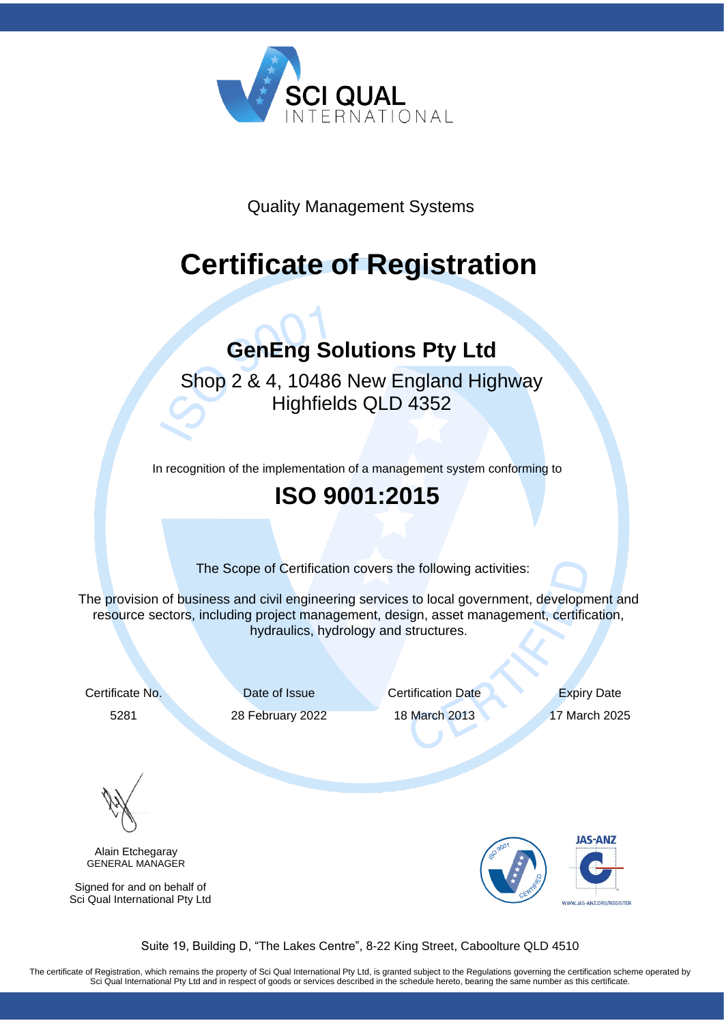

Quality Management Systems

# **Certificate of Registration**

#### **GenEng Solutions Pty Ltd**

#### Shop 2 & 4, 10486 New England Highway Highfields QLD 4352

In recognition of the implementation of a management system conforming to

#### **[ISO 9001:2015](http://www.sciqual.com.au/certifications/ISO-9001-quality-management-certification)**

The Scope of Certification covers the following activities:

The provision of business and civil engineering services to local government, development and resource sectors, including project management, design, asset management, certification, hydraulics, hydrology and structures.

Certificate No. Date of Issue Certification Date Expiry Date

5281 28 February 2022 18 March 2013 17 March 2025

Alain Etchegaray GENERAL MANAGER

Signed for and on behalf of Sci Qual International Pty Ltd



Suite 19, Building D, "The Lakes Centre", 8-22 King Street, Caboolture QLD 4510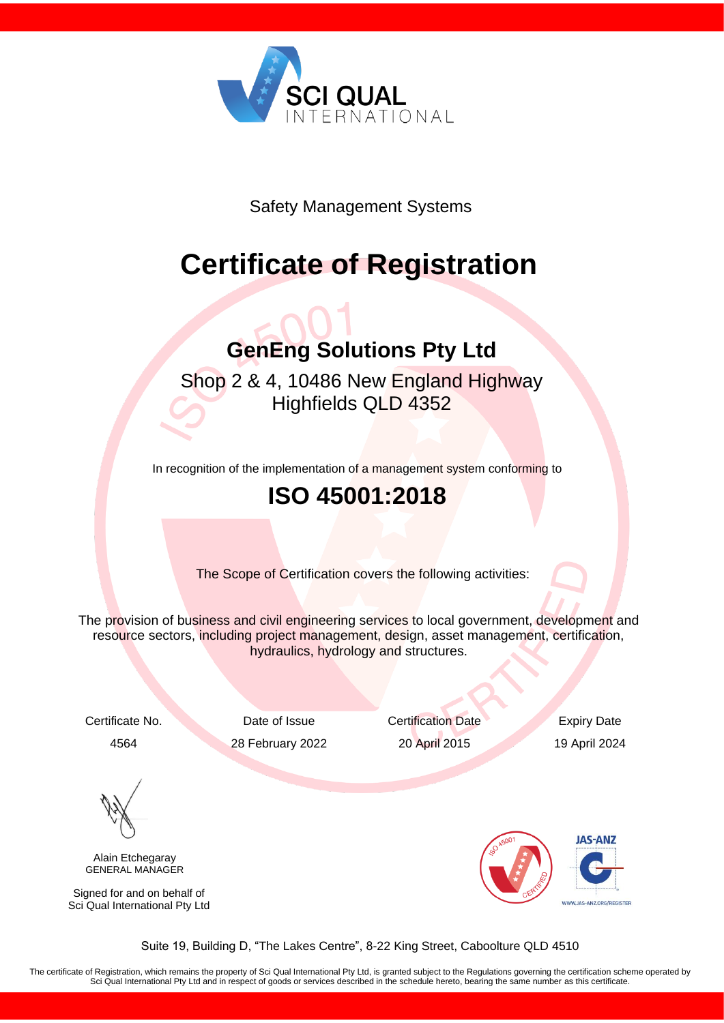

Safety Management Systems

# **Certificate of Registration**

# **GenEng Solutions Pty Ltd**

Shop 2 & 4, 10486 New England Highway Highfields QLD 4352

In recognition of the implementation of a management system conforming to

#### **ISO 45001:2018**

The Scope of Certification covers the following activities:

The provision of business and civil engineering services to local government, development and resource sectors, including project management, design, asset management, certification, hydraulics, hydrology and structures.

4564 28 February 2022 20 April 2015 19 April 2024

Certificate No. Date of Issue Certification Date Expiry Date

Alain Etchegaray GENERAL MANAGER

Signed for and on behalf of Sci Qual International Pty Ltd



Suite 19, Building D, "The Lakes Centre", 8-22 King Street, Caboolture QLD 4510